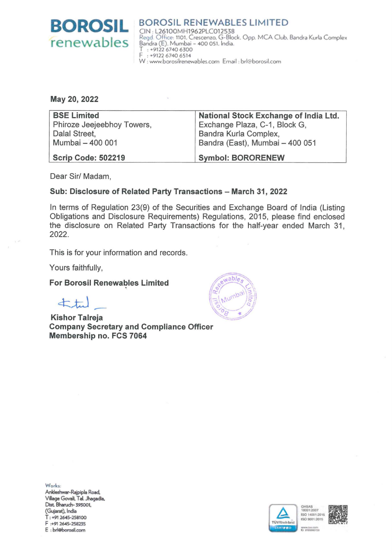

**BOROSIL RENEWABLES LIMITED** CIN: L26100MH1962PLC012538 Regd. Office: 1101, Crescenzo, G-Block, Opp. MCA Club. Bandra Kurla Complex<br>Bandra (E). Mumbai - 400 051, India. T: +9122 6740 6300<br>F: +9122 6740 6514 W: www.borosilrenewables.com Email: brl@borosil.com

May 20, 2022

| <b>BSE Limited</b>         | National Stock Exchange of India Ltd. |
|----------------------------|---------------------------------------|
| Phiroze Jeejeebhoy Towers, | Exchange Plaza, C-1, Block G,         |
| Dalal Street,              | Bandra Kurla Complex,                 |
| Mumbai - 400 001           | Bandra (East), Mumbai - 400 051       |
|                            |                                       |
| <b>Scrip Code: 502219</b>  | <b>Symbol: BORORENEW</b>              |

Dear Sir/ Madam,

## Sub: Disclosure of Related Party Transactions - March 31, 2022

In terms of Regulation 23(9) of the Securities and Exchange Board of India (Listing Obligations and Disclosure Requirements) Regulations, 2015, please find enclosed the disclosure on Related Party Transactions for the half-year ended March 31, 2022.

This is for your information and records.

Yours faithfully,

**For Borosil Renewables Limited** 

 $\pm\pm$ 

**Kishor Talreja Company Secretary and Compliance Officer** Membership no. FCS 7064